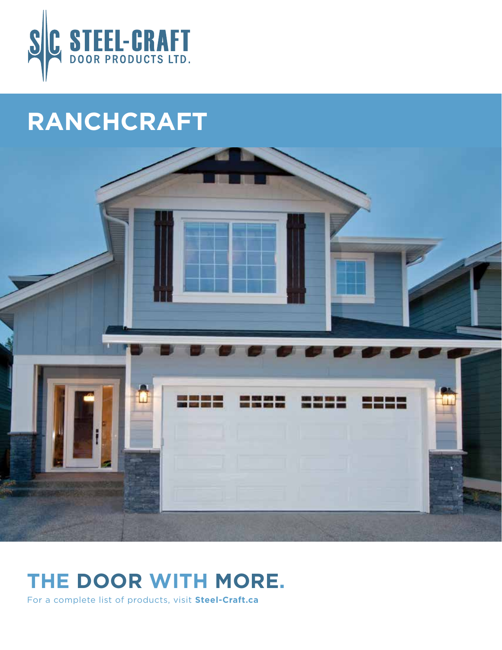

# **RANCHCRAFT**



## **THE DOOR WITH MORE.**

For a complete list of products, visit **Steel-Craft.ca**